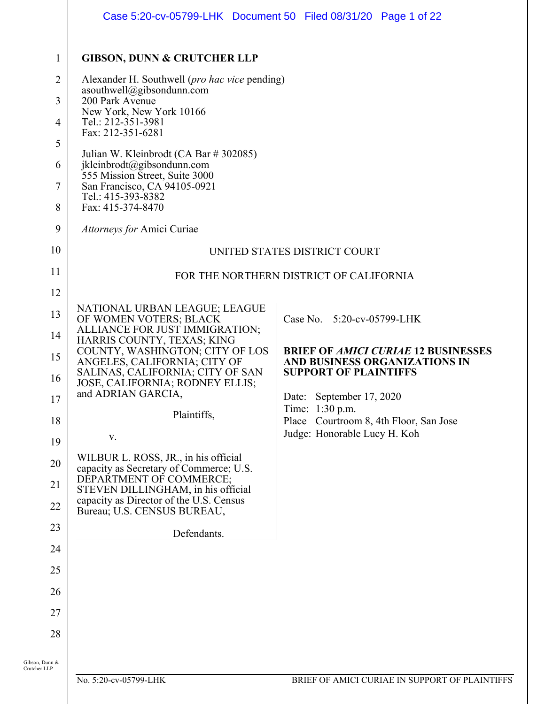|                                | Case 5:20-cv-05799-LHK Document 50 Filed 08/31/20 Page 1 of 22                  |                                                                             |  |
|--------------------------------|---------------------------------------------------------------------------------|-----------------------------------------------------------------------------|--|
| $\mathbf{1}$                   | <b>GIBSON, DUNN &amp; CRUTCHER LLP</b>                                          |                                                                             |  |
| 2                              | Alexander H. Southwell ( <i>pro hac vice</i> pending)                           |                                                                             |  |
| 3                              | asouthwell@gibsondunn.com<br>200 Park Avenue                                    |                                                                             |  |
| 4                              | New York, New York 10166<br>Tel.: 212-351-3981                                  |                                                                             |  |
| 5                              | Fax: 212-351-6281                                                               |                                                                             |  |
| 6                              | Julian W. Kleinbrodt (CA Bar # 302085)<br>jkleinbrodt@gibsondunn.com            |                                                                             |  |
| 7                              | 555 Mission Street, Suite 3000<br>San Francisco, CA 94105-0921                  |                                                                             |  |
| 8                              | Tel.: 415-393-8382<br>Fax: 415-374-8470                                         |                                                                             |  |
| 9                              | <i>Attorneys for Amici Curiae</i>                                               |                                                                             |  |
| 10                             |                                                                                 | UNITED STATES DISTRICT COURT                                                |  |
| 11                             |                                                                                 | FOR THE NORTHERN DISTRICT OF CALIFORNIA                                     |  |
| 12                             |                                                                                 |                                                                             |  |
| 13                             | NATIONAL URBAN LEAGUE; LEAGUE<br>OF WOMEN VOTERS; BLACK                         | Case No. 5:20-cv-05799-LHK                                                  |  |
| 14                             | ALLIANCE FOR JUST IMMIGRATION;<br>HARRIS COUNTY, TEXAS; KING                    |                                                                             |  |
| 15                             | COUNTY, WASHINGTON; CITY OF LOS<br>ANGELES, CALIFORNIA; CITY OF                 | <b>BRIEF OF AMICI CURIAE 12 BUSINESSES</b><br>AND BUSINESS ORGANIZATIONS IN |  |
| 16                             | SALINAS, CALIFORNIA; CITY OF SAN<br>JOSE, CALIFORNIA; RODNEY ELLIS;             | <b>SUPPORT OF PLAINTIFFS</b>                                                |  |
| $17$                           | and ADRIAN GARCIA,                                                              | Date: September 17, 2020<br>Time: 1:30 p.m.                                 |  |
| 18                             | Plaintiffs,                                                                     | Place Courtroom 8, 4th Floor, San Jose                                      |  |
| 19                             | $\mathbf{V}$ .                                                                  | Judge: Honorable Lucy H. Koh                                                |  |
| 20                             | WILBUR L. ROSS, JR., in his official<br>capacity as Secretary of Commerce; U.S. |                                                                             |  |
| 21                             | DÉPARTMENT OF COMMERCE;<br>STEVEN DILLINGHAM, in his official                   |                                                                             |  |
| 22                             | capacity as Director of the U.S. Census<br>Bureau; U.S. CENSUS BUREAU,          |                                                                             |  |
| 23                             | Defendants.                                                                     |                                                                             |  |
| 24                             |                                                                                 |                                                                             |  |
| 25                             |                                                                                 |                                                                             |  |
| 26                             |                                                                                 |                                                                             |  |
| 27                             |                                                                                 |                                                                             |  |
| 28                             |                                                                                 |                                                                             |  |
| Gibson, Dunn &<br>Crutcher LLP | No. 5:20-cv-05799-LHK                                                           | BRIEF OF AMICI CURIAE IN SUPPORT OF PLAINTIFFS                              |  |
|                                |                                                                                 |                                                                             |  |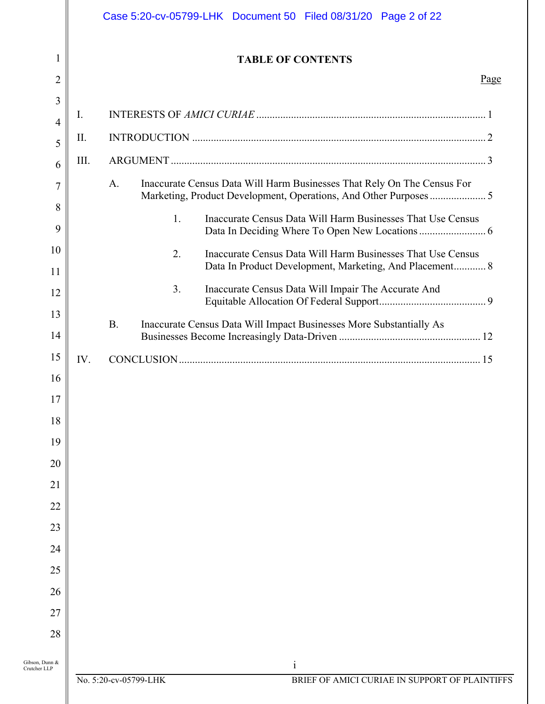|                                |      | Case 5:20-cv-05799-LHK Document 50 Filed 08/31/20 Page 2 of 22                                                                                     |
|--------------------------------|------|----------------------------------------------------------------------------------------------------------------------------------------------------|
| $\mathbf{1}$                   |      | <b>TABLE OF CONTENTS</b>                                                                                                                           |
| $\overline{2}$                 |      | Page                                                                                                                                               |
| 3                              | I.   |                                                                                                                                                    |
| $\overline{4}$                 | П.   |                                                                                                                                                    |
| 5<br>6                         | III. |                                                                                                                                                    |
| 7                              |      | Inaccurate Census Data Will Harm Businesses That Rely On The Census For<br>A.<br>Marketing, Product Development, Operations, And Other Purposes  5 |
| 8<br>9                         |      | 1.<br>Inaccurate Census Data Will Harm Businesses That Use Census                                                                                  |
| 10<br>11                       |      | 2.<br>Inaccurate Census Data Will Harm Businesses That Use Census<br>Data In Product Development, Marketing, And Placement 8                       |
| 12                             |      | 3.<br>Inaccurate Census Data Will Impair The Accurate And                                                                                          |
| 13<br>14                       |      | <b>B.</b><br>Inaccurate Census Data Will Impact Businesses More Substantially As                                                                   |
| 15                             | IV.  |                                                                                                                                                    |
| 16                             |      |                                                                                                                                                    |
| 17                             |      |                                                                                                                                                    |
| 18                             |      |                                                                                                                                                    |
| 19                             |      |                                                                                                                                                    |
| 20                             |      |                                                                                                                                                    |
| 21                             |      |                                                                                                                                                    |
| 22                             |      |                                                                                                                                                    |
| 23                             |      |                                                                                                                                                    |
| 24                             |      |                                                                                                                                                    |
| 25                             |      |                                                                                                                                                    |
| 26                             |      |                                                                                                                                                    |
| 27<br>28                       |      |                                                                                                                                                    |
| Gibson, Dunn &<br>Crutcher LLP |      | 1<br>No. 5:20-cv-05799-LHK<br>BRIEF OF AMICI CURIAE IN SUPPORT OF PLAINTIFFS                                                                       |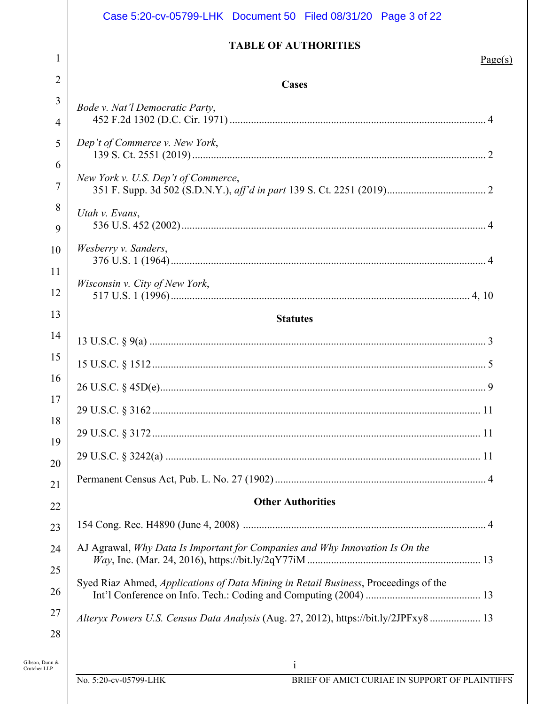|                | Case 5:20-cv-05799-LHK Document 50 Filed 08/31/20 Page 3 of 22                              |  |  |  |
|----------------|---------------------------------------------------------------------------------------------|--|--|--|
|                | <b>TABLE OF AUTHORITIES</b>                                                                 |  |  |  |
| 1              | Page(s)                                                                                     |  |  |  |
| $\overline{2}$ | Cases                                                                                       |  |  |  |
| 3<br>4         | Bode v. Nat'l Democratic Party,                                                             |  |  |  |
| 5              | Dep't of Commerce v. New York,                                                              |  |  |  |
| 6              |                                                                                             |  |  |  |
| $\overline{7}$ | New York v. U.S. Dep't of Commerce,                                                         |  |  |  |
| 8              | Utah v. Evans,                                                                              |  |  |  |
| 9              |                                                                                             |  |  |  |
| 10             | Wesberry v. Sanders,                                                                        |  |  |  |
| 11             | Wisconsin v. City of New York,                                                              |  |  |  |
| 12             |                                                                                             |  |  |  |
| 13             | <b>Statutes</b>                                                                             |  |  |  |
| 14             |                                                                                             |  |  |  |
| 15             |                                                                                             |  |  |  |
| 16             |                                                                                             |  |  |  |
| 17             |                                                                                             |  |  |  |
| 18             |                                                                                             |  |  |  |
| 19             |                                                                                             |  |  |  |
| 20             |                                                                                             |  |  |  |
| 21             | <b>Other Authorities</b>                                                                    |  |  |  |
| 22             |                                                                                             |  |  |  |
| 23             |                                                                                             |  |  |  |
| 24             | AJ Agrawal, Why Data Is Important for Companies and Why Innovation Is On the                |  |  |  |
| 25<br>26       | Syed Riaz Ahmed, <i>Applications of Data Mining in Retail Business</i> , Proceedings of the |  |  |  |
| 27             |                                                                                             |  |  |  |
| 28             | Alteryx Powers U.S. Census Data Analysis (Aug. 27, 2012), https://bit.ly/2JPFxy8 13         |  |  |  |
|                |                                                                                             |  |  |  |

i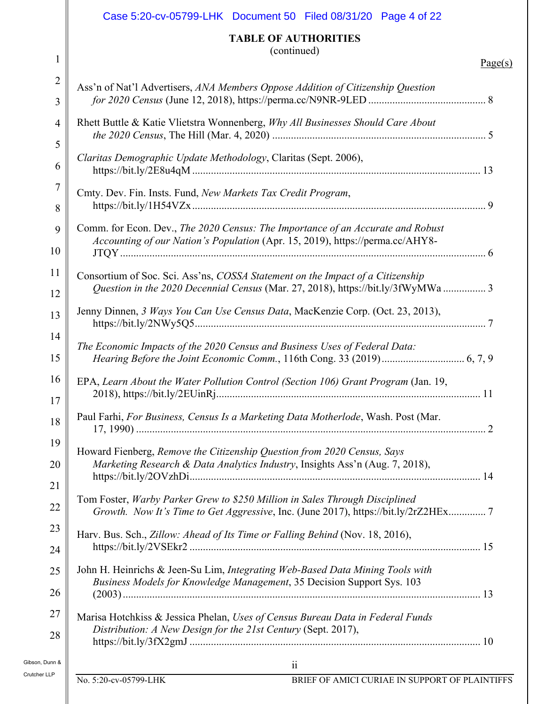|                | Case 5:20-cv-05799-LHK Document 50 Filed 08/31/20 Page 4 of 22                                                                                                    |  |
|----------------|-------------------------------------------------------------------------------------------------------------------------------------------------------------------|--|
|                | <b>TABLE OF AUTHORITIES</b>                                                                                                                                       |  |
| 1              | (continued)<br>Page(s)                                                                                                                                            |  |
| $\overline{2}$ | Ass'n of Nat'l Advertisers, ANA Members Oppose Addition of Citizenship Question                                                                                   |  |
| 3              |                                                                                                                                                                   |  |
| 4              | Rhett Buttle & Katie Vlietstra Wonnenberg, Why All Businesses Should Care About                                                                                   |  |
| 5<br>6         | Claritas Demographic Update Methodology, Claritas (Sept. 2006),                                                                                                   |  |
| 7<br>8         | Cmty. Dev. Fin. Insts. Fund, New Markets Tax Credit Program,                                                                                                      |  |
| 9<br>10        | Comm. for Econ. Dev., The 2020 Census: The Importance of an Accurate and Robust<br>Accounting of our Nation's Population (Apr. 15, 2019), https://perma.cc/AHY8-  |  |
| 11<br>12       | Consortium of Soc. Sci. Ass'ns, COSSA Statement on the Impact of a Citizenship<br>Question in the 2020 Decennial Census (Mar. 27, 2018), https://bit.ly/3fWyMWa 3 |  |
| 13             | Jenny Dinnen, 3 Ways You Can Use Census Data, MacKenzie Corp. (Oct. 23, 2013),                                                                                    |  |
| 14<br>15       | The Economic Impacts of the 2020 Census and Business Uses of Federal Data:                                                                                        |  |
| 16<br>17       | EPA, Learn About the Water Pollution Control (Section 106) Grant Program (Jan. 19,<br>.11                                                                         |  |
| 18             | Paul Farhi, For Business, Census Is a Marketing Data Motherlode, Wash. Post (Mar.                                                                                 |  |
| 19<br>20       | Howard Fienberg, Remove the Citizenship Question from 2020 Census, Says<br>Marketing Research & Data Analytics Industry, Insights Ass'n (Aug. 7, 2018),           |  |
| 21<br>22       | Tom Foster, Warby Parker Grew to \$250 Million in Sales Through Disciplined<br>Growth. Now It's Time to Get Aggressive, Inc. (June 2017), https://bit.ly/2rZ2HEx7 |  |
| 23<br>24       | Harv. Bus. Sch., Zillow: Ahead of Its Time or Falling Behind (Nov. 18, 2016),                                                                                     |  |
| 25<br>26       | John H. Heinrichs & Jeen-Su Lim, Integrating Web-Based Data Mining Tools with<br>Business Models for Knowledge Management, 35 Decision Support Sys. 103           |  |
| 27<br>28       | Marisa Hotchkiss & Jessica Phelan, Uses of Census Bureau Data in Federal Funds<br>Distribution: A New Design for the 21st Century (Sept. 2017),                   |  |
| ınn &          | $\ddot{i}$                                                                                                                                                        |  |
| LP             | $\frac{1}{2}$ No. 5:20-cv-05799-LHK<br>BRIEF OF AMICI CURIAE IN SUPPORT OF PLAINTIFFS                                                                             |  |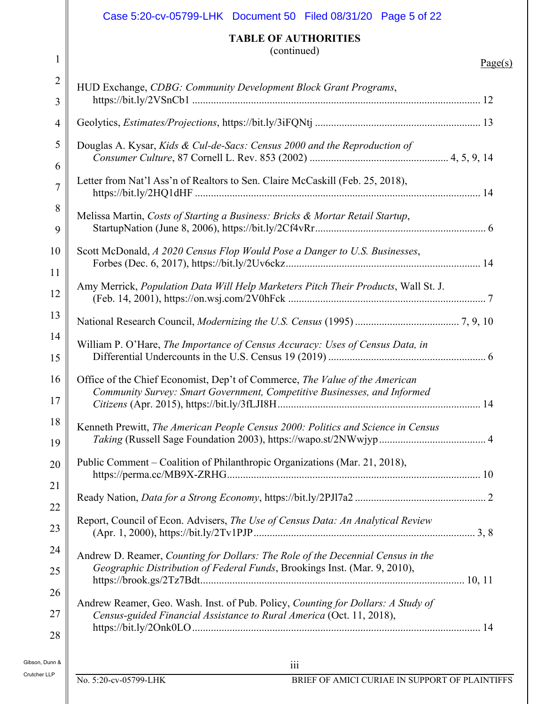|                | Case 5:20-cv-05799-LHK Document 50 Filed 08/31/20 Page 5 of 22                                                                                          |
|----------------|---------------------------------------------------------------------------------------------------------------------------------------------------------|
|                | <b>TABLE OF AUTHORITIES</b><br>(continued)                                                                                                              |
| 1              | Page(s)                                                                                                                                                 |
| 2              | HUD Exchange, CDBG: Community Development Block Grant Programs,                                                                                         |
| 3              |                                                                                                                                                         |
| 4              |                                                                                                                                                         |
| 5              | Douglas A. Kysar, Kids & Cul-de-Sacs: Census 2000 and the Reproduction of                                                                               |
| 6              |                                                                                                                                                         |
| $\overline{7}$ | Letter from Nat'l Ass'n of Realtors to Sen. Claire McCaskill (Feb. 25, 2018),                                                                           |
| 8<br>9         | Melissa Martin, Costs of Starting a Business: Bricks & Mortar Retail Startup,                                                                           |
| 10<br>11       | Scott McDonald, A 2020 Census Flop Would Pose a Danger to U.S. Businesses,                                                                              |
| 12             | Amy Merrick, Population Data Will Help Marketers Pitch Their Products, Wall St. J.                                                                      |
| 13             |                                                                                                                                                         |
| 14<br>15       | William P. O'Hare, The Importance of Census Accuracy: Uses of Census Data, in                                                                           |
| 16<br>17       | Office of the Chief Economist, Dep't of Commerce, The Value of the American<br>Community Survey: Smart Government, Competitive Businesses, and Informed |
| 18<br>19       | Kenneth Prewitt, The American People Census 2000: Politics and Science in Census                                                                        |
| 20<br>21       | Public Comment – Coalition of Philanthropic Organizations (Mar. 21, 2018),                                                                              |
| 22             |                                                                                                                                                         |
| 23             | Report, Council of Econ. Advisers, The Use of Census Data: An Analytical Review                                                                         |
| 24             | Andrew D. Reamer, Counting for Dollars: The Role of the Decennial Census in the                                                                         |
| 25             | Geographic Distribution of Federal Funds, Brookings Inst. (Mar. 9, 2010),                                                                               |
| 26             | Andrew Reamer, Geo. Wash. Inst. of Pub. Policy, Counting for Dollars: A Study of                                                                        |
| 27             | Census-guided Financial Assistance to Rural America (Oct. 11, 2018),                                                                                    |
| 28             |                                                                                                                                                         |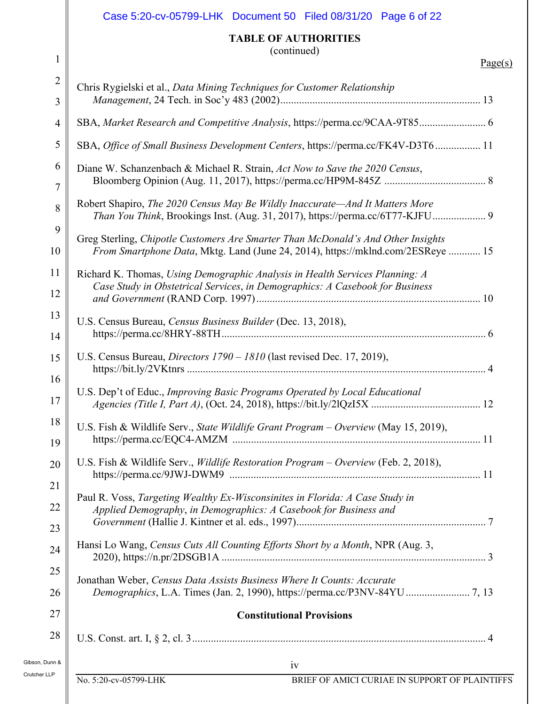|                | Case 5:20-cv-05799-LHK Document 50 Filed 08/31/20 Page 6 of 22                                                                                                      |  |  |
|----------------|---------------------------------------------------------------------------------------------------------------------------------------------------------------------|--|--|
|                | <b>TABLE OF AUTHORITIES</b><br>(continued)                                                                                                                          |  |  |
| 1              | Page(s)                                                                                                                                                             |  |  |
| $\overline{c}$ | Chris Rygielski et al., Data Mining Techniques for Customer Relationship                                                                                            |  |  |
| 3              |                                                                                                                                                                     |  |  |
| 4              | SBA, Market Research and Competitive Analysis, https://perma.cc/9CAA-9T85 6                                                                                         |  |  |
| 5              | SBA, Office of Small Business Development Centers, https://perma.cc/FK4V-D3T6 11                                                                                    |  |  |
| 6              | Diane W. Schanzenbach & Michael R. Strain, Act Now to Save the 2020 Census,                                                                                         |  |  |
| $\overline{7}$ |                                                                                                                                                                     |  |  |
| 8              | Robert Shapiro, The 2020 Census May Be Wildly Inaccurate—And It Matters More<br>Than You Think, Brookings Inst. (Aug. 31, 2017), https://perma.cc/6T77-KJFU 9       |  |  |
| 9<br>10        | Greg Sterling, Chipotle Customers Are Smarter Than McDonald's And Other Insights<br>From Smartphone Data, Mktg. Land (June 24, 2014), https://mklnd.com/2ESReye  15 |  |  |
| 11             | Richard K. Thomas, Using Demographic Analysis in Health Services Planning: A                                                                                        |  |  |
| 12             | Case Study in Obstetrical Services, in Demographics: A Casebook for Business                                                                                        |  |  |
| 13             | U.S. Census Bureau, Census Business Builder (Dec. 13, 2018),                                                                                                        |  |  |
| 14             |                                                                                                                                                                     |  |  |
| 15             | U.S. Census Bureau, <i>Directors</i> $1790 - 1810$ (last revised Dec. 17, 2019),                                                                                    |  |  |
| 16             |                                                                                                                                                                     |  |  |
| 17             | U.S. Dep't of Educ., Improving Basic Programs Operated by Local Educational                                                                                         |  |  |
| 18             | U.S. Fish & Wildlife Serv., State Wildlife Grant Program - Overview (May 15, 2019),                                                                                 |  |  |
| 19             |                                                                                                                                                                     |  |  |
| 20             | U.S. Fish & Wildlife Serv., Wildlife Restoration Program - Overview (Feb. 2, 2018),                                                                                 |  |  |
| 21             | Paul R. Voss, Targeting Wealthy Ex-Wisconsinites in Florida: A Case Study in                                                                                        |  |  |
| 22             | Applied Demography, in Demographics: A Casebook for Business and                                                                                                    |  |  |
| 23             |                                                                                                                                                                     |  |  |
| 24             | Hansi Lo Wang, Census Cuts All Counting Efforts Short by a Month, NPR (Aug. 3,                                                                                      |  |  |
| 25             | Jonathan Weber, Census Data Assists Business Where It Counts: Accurate                                                                                              |  |  |
| 26             |                                                                                                                                                                     |  |  |
| 27             | <b>Constitutional Provisions</b>                                                                                                                                    |  |  |
| 28             |                                                                                                                                                                     |  |  |
| Gibson, Dunn & | iv                                                                                                                                                                  |  |  |
| Crutcher LLP   | No. 5:20-cv-05799-LHK<br>BRIEF OF AMICI CURIAE IN SUPPORT OF PLAINTIFFS                                                                                             |  |  |

Ш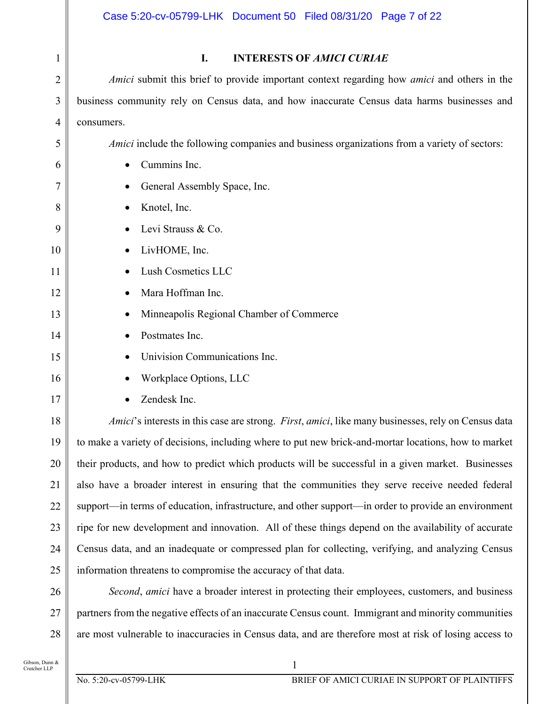|              | Case 5:20-cv-05799-LHK Document 50 Filed 08/31/20 Page 7 of 22                                                    |  |  |
|--------------|-------------------------------------------------------------------------------------------------------------------|--|--|
|              |                                                                                                                   |  |  |
| $\mathbf{1}$ | I.<br><b>INTERESTS OF AMICI CURIAE</b>                                                                            |  |  |
| 2            | Amici submit this brief to provide important context regarding how amici and others in the                        |  |  |
| 3            | business community rely on Census data, and how inaccurate Census data harms businesses and                       |  |  |
| 4            | consumers.                                                                                                        |  |  |
| 5            | Amici include the following companies and business organizations from a variety of sectors:                       |  |  |
| 6            | Cummins Inc.<br>$\bullet$                                                                                         |  |  |
| 7            | General Assembly Space, Inc.                                                                                      |  |  |
| 8            | Knotel, Inc.                                                                                                      |  |  |
| 9            | Levi Strauss & Co.                                                                                                |  |  |
| 10           | LivHOME, Inc.                                                                                                     |  |  |
| 11           | Lush Cosmetics LLC                                                                                                |  |  |
| 12           | Mara Hoffman Inc.                                                                                                 |  |  |
| 13           | Minneapolis Regional Chamber of Commerce                                                                          |  |  |
| 14           | Postmates Inc.                                                                                                    |  |  |
| 15           | Univision Communications Inc.                                                                                     |  |  |
| 16           | Workplace Options, LLC                                                                                            |  |  |
| 17           | Zendesk Inc.                                                                                                      |  |  |
| 18           | <i>Amici's</i> interests in this case are strong. <i>First, amici</i> , like many businesses, rely on Census data |  |  |
| 19           | to make a variety of decisions, including where to put new brick-and-mortar locations, how to market              |  |  |
| 20           | their products, and how to predict which products will be successful in a given market. Businesses                |  |  |
| 21           | also have a broader interest in ensuring that the communities they serve receive needed federal                   |  |  |
| 22           | support—in terms of education, infrastructure, and other support—in order to provide an environment               |  |  |
| 23           | ripe for new development and innovation. All of these things depend on the availability of accurate               |  |  |
| 24           | Census data, and an inadequate or compressed plan for collecting, verifying, and analyzing Census                 |  |  |
| 25           | information threatens to compromise the accuracy of that data.                                                    |  |  |
| 26           | Second, amici have a broader interest in protecting their employees, customers, and business                      |  |  |
| 27           | partners from the negative effects of an inaccurate Census count. Immigrant and minority communities              |  |  |

1

are most vulnerable to inaccuracies in Census data, and are therefore most at risk of losing access to

Gibson, Dunn & Crutcher LLP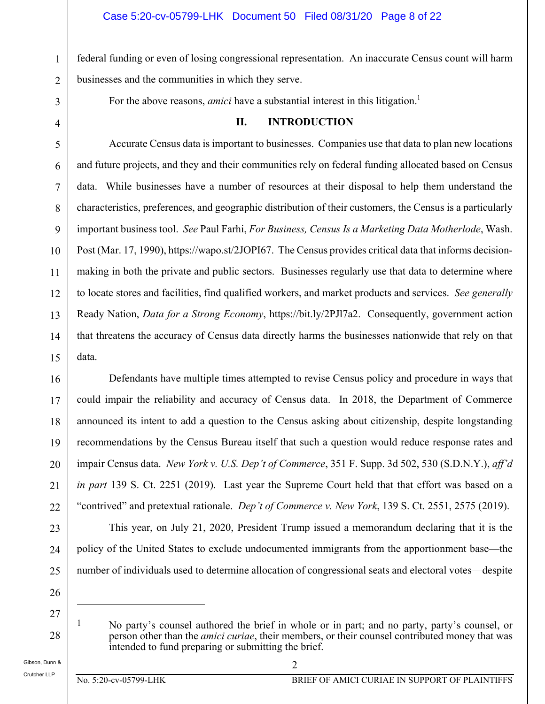federal funding or even of losing congressional representation. An inaccurate Census count will harm businesses and the communities in which they serve.

For the above reasons, *amici* have a substantial interest in this litigation.<sup>1</sup>

### **II. INTRODUCTION**

5 6 7 8 9 10 11 12 13 14 15 Accurate Census data is important to businesses. Companies use that data to plan new locations and future projects, and they and their communities rely on federal funding allocated based on Census data. While businesses have a number of resources at their disposal to help them understand the characteristics, preferences, and geographic distribution of their customers, the Census is a particularly important business tool. *See* Paul Farhi, *For Business, Census Is a Marketing Data Motherlode*, Wash. Post (Mar. 17, 1990), https://wapo.st/2JOPI67. The Census provides critical data that informs decisionmaking in both the private and public sectors. Businesses regularly use that data to determine where to locate stores and facilities, find qualified workers, and market products and services. *See generally*  Ready Nation, *Data for a Strong Economy*, https://bit.ly/2PJl7a2. Consequently, government action that threatens the accuracy of Census data directly harms the businesses nationwide that rely on that data.

18 19 20 Defendants have multiple times attempted to revise Census policy and procedure in ways that could impair the reliability and accuracy of Census data. In 2018, the Department of Commerce announced its intent to add a question to the Census asking about citizenship, despite longstanding recommendations by the Census Bureau itself that such a question would reduce response rates and impair Census data. *New York v. U.S. Dep't of Commerce*, 351 F. Supp. 3d 502, 530 (S.D.N.Y.), *aff'd in part* 139 S. Ct. 2251 (2019). Last year the Supreme Court held that that effort was based on a "contrived" and pretextual rationale. *Dep't of Commerce v. New York*, 139 S. Ct. 2551, 2575 (2019).

23 24

16

17

21

22

1

2

3

4

26

27

 $\overline{a}$ 

28

25

policy of the United States to exclude undocumented immigrants from the apportionment base—the

number of individuals used to determine allocation of congressional seats and electoral votes—despite

This year, on July 21, 2020, President Trump issued a memorandum declaring that it is the

<sup>&</sup>lt;sup>1</sup> No party's counsel authored the brief in whole or in part; and no party, party's counsel, or person other than the *amici curiae*, their members, or their counsel contributed money that was intended to fund preparing or submitting the brief.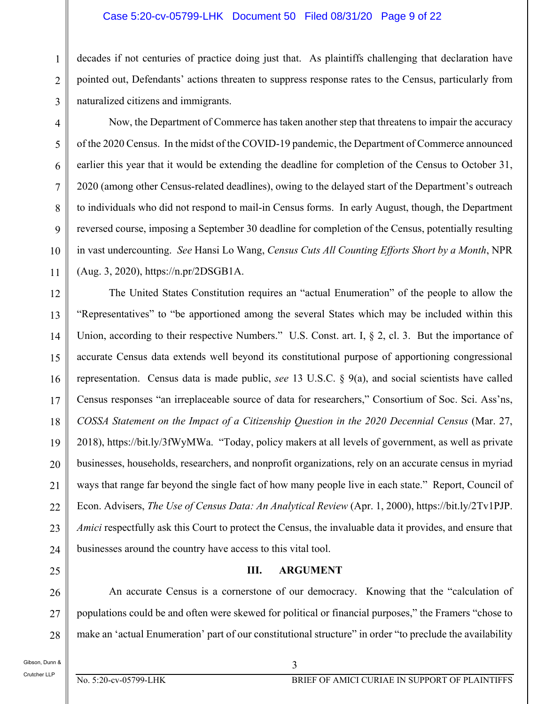### Case 5:20-cv-05799-LHK Document 50 Filed 08/31/20 Page 9 of 22

decades if not centuries of practice doing just that. As plaintiffs challenging that declaration have pointed out, Defendants' actions threaten to suppress response rates to the Census, particularly from naturalized citizens and immigrants.

Now, the Department of Commerce has taken another step that threatens to impair the accuracy of the 2020 Census. In the midst of the COVID-19 pandemic, the Department of Commerce announced earlier this year that it would be extending the deadline for completion of the Census to October 31, 2020 (among other Census-related deadlines), owing to the delayed start of the Department's outreach to individuals who did not respond to mail-in Census forms. In early August, though, the Department reversed course, imposing a September 30 deadline for completion of the Census, potentially resulting in vast undercounting. *See* Hansi Lo Wang, *Census Cuts All Counting Efforts Short by a Month*, NPR (Aug. 3, 2020), https://n.pr/2DSGB1A.

12 13 14 15 16 17 18 19 20 21 22 23  $24$ The United States Constitution requires an "actual Enumeration" of the people to allow the "Representatives" to "be apportioned among the several States which may be included within this Union, according to their respective Numbers." U.S. Const. art. I, § 2, cl. 3. But the importance of accurate Census data extends well beyond its constitutional purpose of apportioning congressional representation. Census data is made public, *see* 13 U.S.C. § 9(a), and social scientists have called Census responses "an irreplaceable source of data for researchers," Consortium of Soc. Sci. Ass'ns, *COSSA Statement on the Impact of a Citizenship Question in the 2020 Decennial Census* (Mar. 27, 2018), https://bit.ly/3fWyMWa. "Today, policy makers at all levels of government, as well as private businesses, households, researchers, and nonprofit organizations, rely on an accurate census in myriad ways that range far beyond the single fact of how many people live in each state." Report, Council of Econ. Advisers, *The Use of Census Data: An Analytical Review* (Apr. 1, 2000), https://bit.ly/2Tv1PJP. *Amici* respectfully ask this Court to protect the Census, the invaluable data it provides, and ensure that businesses around the country have access to this vital tool.

**III. ARGUMENT** 

28 An accurate Census is a cornerstone of our democracy. Knowing that the "calculation of populations could be and often were skewed for political or financial purposes," the Framers "chose to make an 'actual Enumeration' part of our constitutional structure" in order "to preclude the availability

1

2

3

4

5

6

7

8

9

10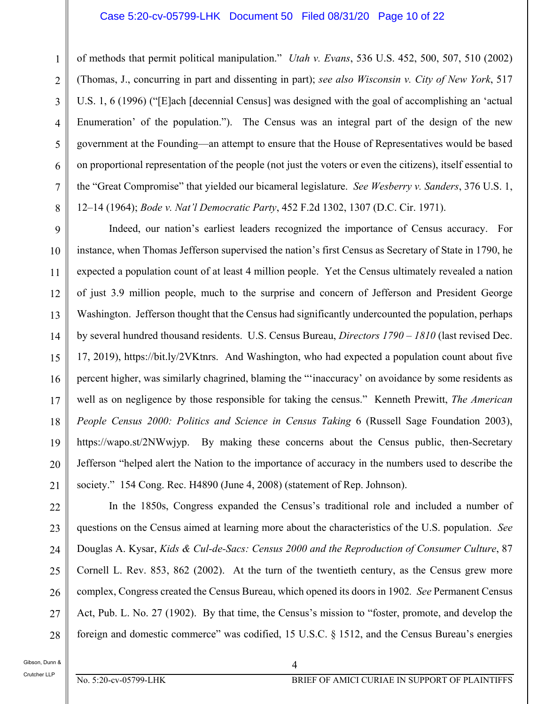### Case 5:20-cv-05799-LHK Document 50 Filed 08/31/20 Page 10 of 22

3 4 5 6 7 8 of methods that permit political manipulation." *Utah v. Evans*, 536 U.S. 452, 500, 507, 510 (2002) (Thomas, J., concurring in part and dissenting in part); *see also Wisconsin v. City of New York*, 517 U.S. 1, 6 (1996) ("[E]ach [decennial Census] was designed with the goal of accomplishing an 'actual Enumeration' of the population."). The Census was an integral part of the design of the new government at the Founding—an attempt to ensure that the House of Representatives would be based on proportional representation of the people (not just the voters or even the citizens), itself essential to the "Great Compromise" that yielded our bicameral legislature. *See Wesberry v. Sanders*, 376 U.S. 1, 12–14 (1964); *Bode v. Nat'l Democratic Party*, 452 F.2d 1302, 1307 (D.C. Cir. 1971).

9 10 11 12 13 14 15 16 17 18 19 20 21 Indeed, our nation's earliest leaders recognized the importance of Census accuracy. For instance, when Thomas Jefferson supervised the nation's first Census as Secretary of State in 1790, he expected a population count of at least 4 million people. Yet the Census ultimately revealed a nation of just 3.9 million people, much to the surprise and concern of Jefferson and President George Washington. Jefferson thought that the Census had significantly undercounted the population, perhaps by several hundred thousand residents. U.S. Census Bureau, *Directors 1790 – 1810* (last revised Dec. 17, 2019), https://bit.ly/2VKtnrs. And Washington, who had expected a population count about five percent higher, was similarly chagrined, blaming the "'inaccuracy' on avoidance by some residents as well as on negligence by those responsible for taking the census." Kenneth Prewitt, *The American People Census 2000: Politics and Science in Census Taking* 6 (Russell Sage Foundation 2003), https://wapo.st/2NWwjyp. By making these concerns about the Census public, then-Secretary Jefferson "helped alert the Nation to the importance of accuracy in the numbers used to describe the society." 154 Cong. Rec. H4890 (June 4, 2008) (statement of Rep. Johnson).

22 23 24 25 26 27 28 In the 1850s, Congress expanded the Census's traditional role and included a number of questions on the Census aimed at learning more about the characteristics of the U.S. population. *See*  Douglas A. Kysar, *Kids & Cul-de-Sacs: Census 2000 and the Reproduction of Consumer Culture*, 87 Cornell L. Rev. 853, 862 (2002). At the turn of the twentieth century, as the Census grew more complex, Congress created the Census Bureau, which opened its doors in 1902*. See* Permanent Census Act, Pub. L. No. 27 (1902). By that time, the Census's mission to "foster, promote, and develop the foreign and domestic commerce" was codified, 15 U.S.C. § 1512, and the Census Bureau's energies

Gibson, Dunn & Crutcher LLP

1

2

No. 5:20-cv-05799-LHK BRIEF OF AMICI CURIAE IN SUPPORT OF PLAINTIFFS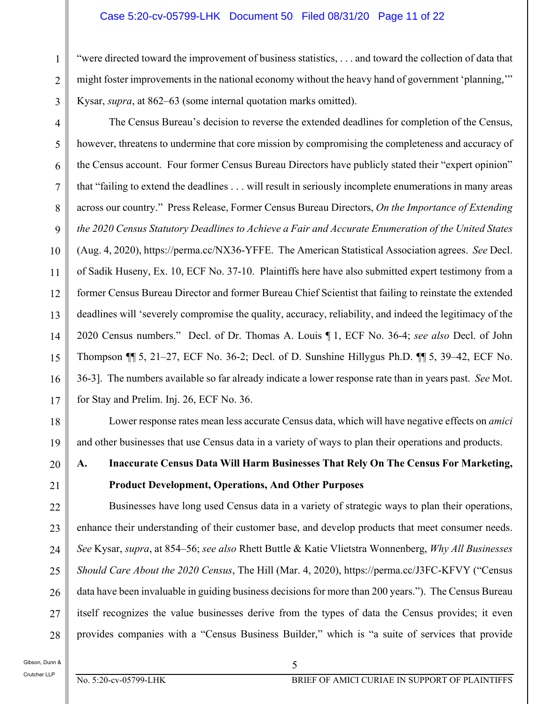### Case 5:20-cv-05799-LHK Document 50 Filed 08/31/20 Page 11 of 22

"were directed toward the improvement of business statistics, . . . and toward the collection of data that might foster improvements in the national economy without the heavy hand of government 'planning,'" Kysar, *supra*, at 862–63 (some internal quotation marks omitted).

4 5 6 7 8 9 10 11 12 13 14 15 16 17 The Census Bureau's decision to reverse the extended deadlines for completion of the Census, however, threatens to undermine that core mission by compromising the completeness and accuracy of the Census account. Four former Census Bureau Directors have publicly stated their "expert opinion" that "failing to extend the deadlines . . . will result in seriously incomplete enumerations in many areas across our country." Press Release, Former Census Bureau Directors, *On the Importance of Extending the 2020 Census Statutory Deadlines to Achieve a Fair and Accurate Enumeration of the United States* (Aug. 4, 2020), https://perma.cc/NX36-YFFE. The American Statistical Association agrees. *See* Decl. of Sadik Huseny, Ex. 10, ECF No. 37-10. Plaintiffs here have also submitted expert testimony from a former Census Bureau Director and former Bureau Chief Scientist that failing to reinstate the extended deadlines will 'severely compromise the quality, accuracy, reliability, and indeed the legitimacy of the 2020 Census numbers." Decl. of Dr. Thomas A. Louis ¶ 1, ECF No. 36-4; *see also* Decl. of John Thompson ¶¶ 5, 21–27, ECF No. 36-2; Decl. of D. Sunshine Hillygus Ph.D. ¶¶ 5, 39–42, ECF No. 36-3]. The numbers available so far already indicate a lower response rate than in years past. *See* Mot. for Stay and Prelim. Inj. 26, ECF No. 36.

Lower response rates mean less accurate Census data, which will have negative effects on *amici* and other businesses that use Census data in a variety of ways to plan their operations and products.

## **A. Inaccurate Census Data Will Harm Businesses That Rely On The Census For Marketing, Product Development, Operations, And Other Purposes**

22 23  $24$ 25 26 27 28 Businesses have long used Census data in a variety of strategic ways to plan their operations, enhance their understanding of their customer base, and develop products that meet consumer needs. *See* Kysar, *supra*, at 854–56; *see also* Rhett Buttle & Katie Vlietstra Wonnenberg, *Why All Businesses Should Care About the 2020 Census*, The Hill (Mar. 4, 2020), https://perma.cc/J3FC-KFVY ("Census data have been invaluable in guiding business decisions for more than 200 years."). The Census Bureau itself recognizes the value businesses derive from the types of data the Census provides; it even provides companies with a "Census Business Builder," which is "a suite of services that provide

18

19

20

21

1

2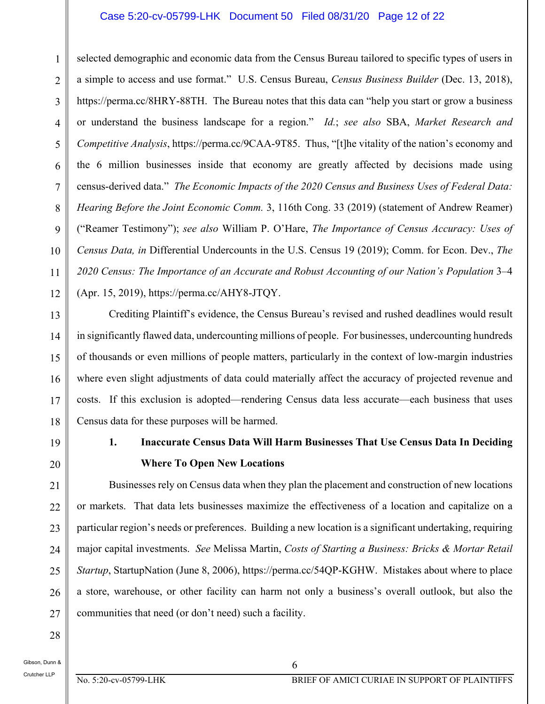### Case 5:20-cv-05799-LHK Document 50 Filed 08/31/20 Page 12 of 22

1 2 3 4 5 6 7 8 9 10 11 12 selected demographic and economic data from the Census Bureau tailored to specific types of users in a simple to access and use format." U.S. Census Bureau, *Census Business Builder* (Dec. 13, 2018), https://perma.cc/8HRY-88TH. The Bureau notes that this data can "help you start or grow a business or understand the business landscape for a region." *Id.*; *see also* SBA, *Market Research and Competitive Analysis*, https://perma.cc/9CAA-9T85. Thus, "[t]he vitality of the nation's economy and the 6 million businesses inside that economy are greatly affected by decisions made using census-derived data." *The Economic Impacts of the 2020 Census and Business Uses of Federal Data: Hearing Before the Joint Economic Comm.* 3, 116th Cong. 33 (2019) (statement of Andrew Reamer) ("Reamer Testimony"); *see also* William P. O'Hare, *The Importance of Census Accuracy: Uses of Census Data, in* Differential Undercounts in the U.S. Census 19 (2019); Comm. for Econ. Dev., *The 2020 Census: The Importance of an Accurate and Robust Accounting of our Nation's Population* 3–4 (Apr. 15, 2019), https://perma.cc/AHY8-JTQY.

Crediting Plaintiff's evidence, the Census Bureau's revised and rushed deadlines would result in significantly flawed data, undercounting millions of people. For businesses, undercounting hundreds of thousands or even millions of people matters, particularly in the context of low-margin industries where even slight adjustments of data could materially affect the accuracy of projected revenue and costs. If this exclusion is adopted—rendering Census data less accurate—each business that uses Census data for these purposes will be harmed.

19

20

21

22

23

24

25

26

27

13

14

15

16

17

18

**1. Inaccurate Census Data Will Harm Businesses That Use Census Data In Deciding Where To Open New Locations** 

Businesses rely on Census data when they plan the placement and construction of new locations or markets. That data lets businesses maximize the effectiveness of a location and capitalize on a particular region's needs or preferences. Building a new location is a significant undertaking, requiring major capital investments. *See* Melissa Martin, *Costs of Starting a Business: Bricks & Mortar Retail Startup*, StartupNation (June 8, 2006), https://perma.cc/54QP-KGHW. Mistakes about where to place a store, warehouse, or other facility can harm not only a business's overall outlook, but also the communities that need (or don't need) such a facility.

28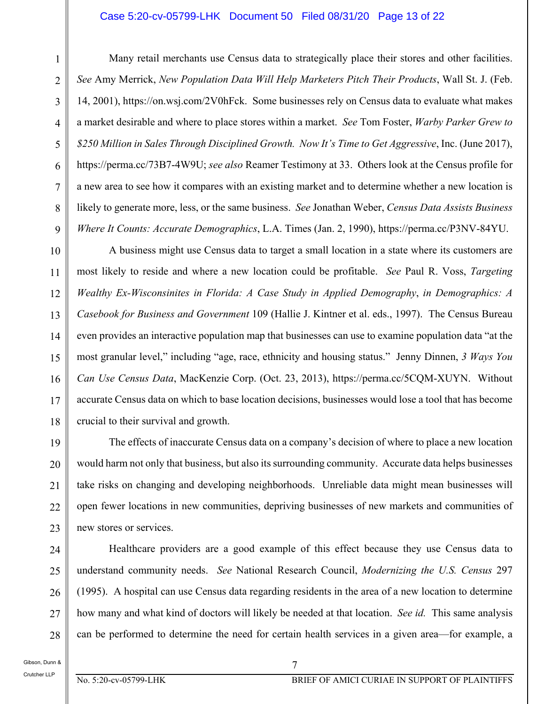#### Case 5:20-cv-05799-LHK Document 50 Filed 08/31/20 Page 13 of 22

7

8

9

Many retail merchants use Census data to strategically place their stores and other facilities. *See* Amy Merrick, *New Population Data Will Help Marketers Pitch Their Products*, Wall St. J. (Feb. 14, 2001), https://on.wsj.com/2V0hFck. Some businesses rely on Census data to evaluate what makes a market desirable and where to place stores within a market. *See* Tom Foster, *Warby Parker Grew to \$250 Million in Sales Through Disciplined Growth. Now It's Time to Get Aggressive*, Inc. (June 2017), https://perma.cc/73B7-4W9U; *see also* Reamer Testimony at 33. Others look at the Census profile for a new area to see how it compares with an existing market and to determine whether a new location is likely to generate more, less, or the same business. *See* Jonathan Weber, *Census Data Assists Business Where It Counts: Accurate Demographics*, L.A. Times (Jan. 2, 1990), https://perma.cc/P3NV-84YU.

10 11 12 13 14 15 16 17 18 A business might use Census data to target a small location in a state where its customers are most likely to reside and where a new location could be profitable. *See* Paul R. Voss, *Targeting Wealthy Ex-Wisconsinites in Florida: A Case Study in Applied Demography*, *in Demographics: A Casebook for Business and Government* 109 (Hallie J. Kintner et al. eds., 1997). The Census Bureau even provides an interactive population map that businesses can use to examine population data "at the most granular level," including "age, race, ethnicity and housing status." Jenny Dinnen, *3 Ways You Can Use Census Data*, MacKenzie Corp. (Oct. 23, 2013), https://perma.cc/5CQM-XUYN. Without accurate Census data on which to base location decisions, businesses would lose a tool that has become crucial to their survival and growth.

The effects of inaccurate Census data on a company's decision of where to place a new location would harm not only that business, but also its surrounding community. Accurate data helps businesses take risks on changing and developing neighborhoods. Unreliable data might mean businesses will open fewer locations in new communities, depriving businesses of new markets and communities of new stores or services.

28

19

20

21

22

23

Healthcare providers are a good example of this effect because they use Census data to understand community needs. *See* National Research Council, *Modernizing the U.S. Census* 297 (1995). A hospital can use Census data regarding residents in the area of a new location to determine how many and what kind of doctors will likely be needed at that location. *See id.* This same analysis can be performed to determine the need for certain health services in a given area—for example, a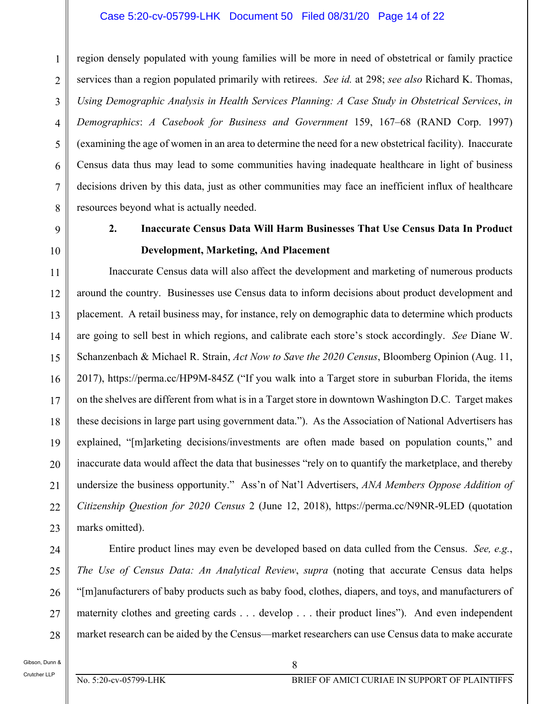### Case 5:20-cv-05799-LHK Document 50 Filed 08/31/20 Page 14 of 22

4 5 7 8 region densely populated with young families will be more in need of obstetrical or family practice services than a region populated primarily with retirees. *See id.* at 298; *see also* Richard K. Thomas, *Using Demographic Analysis in Health Services Planning: A Case Study in Obstetrical Services*, *in Demographics*: *A Casebook for Business and Government* 159, 167–68 (RAND Corp. 1997) (examining the age of women in an area to determine the need for a new obstetrical facility). Inaccurate Census data thus may lead to some communities having inadequate healthcare in light of business decisions driven by this data, just as other communities may face an inefficient influx of healthcare resources beyond what is actually needed.

9

10

1

2

3

6

## **2. Inaccurate Census Data Will Harm Businesses That Use Census Data In Product Development, Marketing, And Placement**

11 12 13 14 15 16 17 18 19 20 21 22 23 Inaccurate Census data will also affect the development and marketing of numerous products around the country. Businesses use Census data to inform decisions about product development and placement. A retail business may, for instance, rely on demographic data to determine which products are going to sell best in which regions, and calibrate each store's stock accordingly. *See* Diane W. Schanzenbach & Michael R. Strain, *Act Now to Save the 2020 Census*, Bloomberg Opinion (Aug. 11, 2017), https://perma.cc/HP9M-845Z ("If you walk into a Target store in suburban Florida, the items on the shelves are different from what is in a Target store in downtown Washington D.C. Target makes these decisions in large part using government data."). As the Association of National Advertisers has explained, "[m]arketing decisions/investments are often made based on population counts," and inaccurate data would affect the data that businesses "rely on to quantify the marketplace, and thereby undersize the business opportunity." Ass'n of Nat'l Advertisers, *ANA Members Oppose Addition of Citizenship Question for 2020 Census* 2 (June 12, 2018), https://perma.cc/N9NR-9LED (quotation marks omitted).

24

25

26

27

28

Entire product lines may even be developed based on data culled from the Census. *See, e.g.*, *The Use of Census Data: An Analytical Review*, *supra* (noting that accurate Census data helps "[m]anufacturers of baby products such as baby food, clothes, diapers, and toys, and manufacturers of maternity clothes and greeting cards . . . develop . . . their product lines"). And even independent market research can be aided by the Census—market researchers can use Census data to make accurate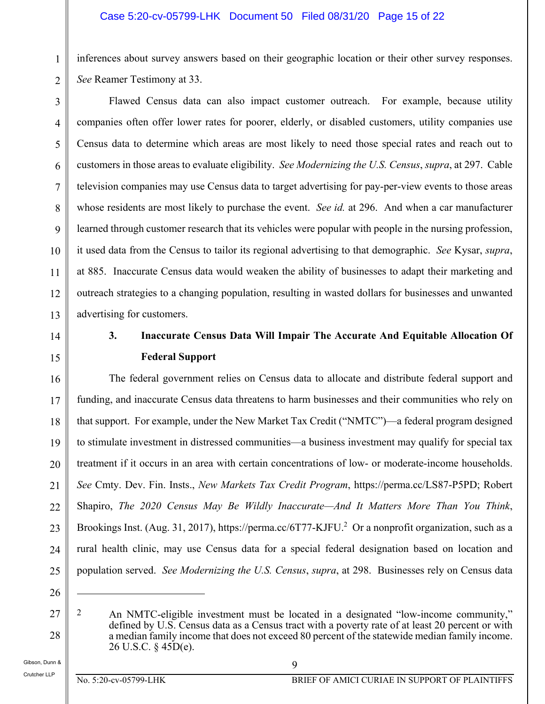inferences about survey answers based on their geographic location or their other survey responses. *See* Reamer Testimony at 33.

3 4 5 6 7 8 9 10 12 13 Flawed Census data can also impact customer outreach. For example, because utility companies often offer lower rates for poorer, elderly, or disabled customers, utility companies use Census data to determine which areas are most likely to need those special rates and reach out to customers in those areas to evaluate eligibility. *See Modernizing the U.S. Census*, *supra*, at 297. Cable television companies may use Census data to target advertising for pay-per-view events to those areas whose residents are most likely to purchase the event. *See id.* at 296. And when a car manufacturer learned through customer research that its vehicles were popular with people in the nursing profession, it used data from the Census to tailor its regional advertising to that demographic. *See* Kysar, *supra*, at 885. Inaccurate Census data would weaken the ability of businesses to adapt their marketing and outreach strategies to a changing population, resulting in wasted dollars for businesses and unwanted advertising for customers.

14 15

16

17

21

22

23

24

25

26

 $\overline{a}$ 

11

1

2

Gibson, Dunn & Crutcher LLP

# **3. Inaccurate Census Data Will Impair The Accurate And Equitable Allocation Of Federal Support**

18 19 20 The federal government relies on Census data to allocate and distribute federal support and funding, and inaccurate Census data threatens to harm businesses and their communities who rely on that support. For example, under the New Market Tax Credit ("NMTC")—a federal program designed to stimulate investment in distressed communities—a business investment may qualify for special tax treatment if it occurs in an area with certain concentrations of low- or moderate-income households. *See* Cmty. Dev. Fin. Insts., *New Markets Tax Credit Program*, https://perma.cc/LS87-P5PD; Robert Shapiro, *The 2020 Census May Be Wildly Inaccurate—And It Matters More Than You Think*, Brookings Inst. (Aug. 31, 2017), https://perma.cc/6T77-KJFU.<sup>2</sup> Or a nonprofit organization, such as a rural health clinic, may use Census data for a special federal designation based on location and population served. *See Modernizing the U.S. Census*, *supra*, at 298. Businesses rely on Census data

27 28 2 An NMTC-eligible investment must be located in a designated "low-income community," defined by U.S. Census data as a Census tract with a poverty rate of at least 20 percent or with a median family income that does not exceed 80 percent of the statewide median family income. 26 U.S.C. § 45D(e).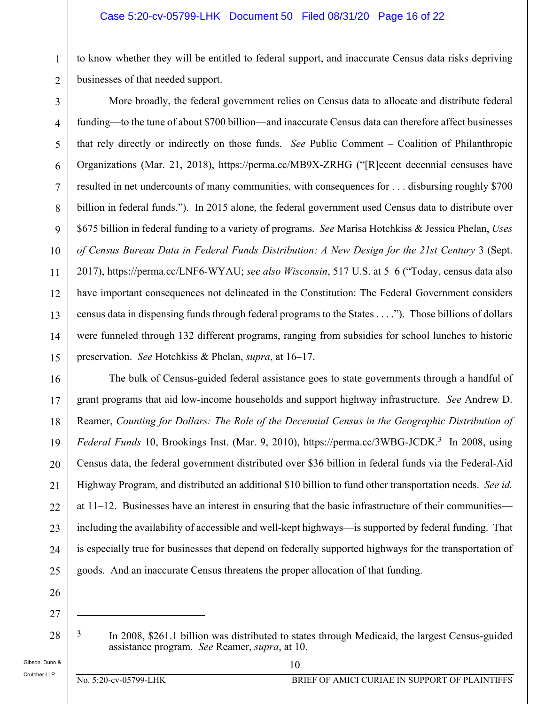to know whether they will be entitled to federal support, and inaccurate Census data risks depriving businesses of that needed support.

3 4 5 6 7 8 9 10 11 12 13 14 15 More broadly, the federal government relies on Census data to allocate and distribute federal funding—to the tune of about \$700 billion—and inaccurate Census data can therefore affect businesses that rely directly or indirectly on those funds. *See* Public Comment – Coalition of Philanthropic Organizations (Mar. 21, 2018), https://perma.cc/MB9X-ZRHG ("[R]ecent decennial censuses have resulted in net undercounts of many communities, with consequences for . . . disbursing roughly \$700 billion in federal funds."). In 2015 alone, the federal government used Census data to distribute over \$675 billion in federal funding to a variety of programs. *See* Marisa Hotchkiss & Jessica Phelan, *Uses of Census Bureau Data in Federal Funds Distribution: A New Design for the 21st Century* 3 (Sept. 2017), https://perma.cc/LNF6-WYAU; *see also Wisconsin*, 517 U.S. at 5–6 ("Today, census data also have important consequences not delineated in the Constitution: The Federal Government considers census data in dispensing funds through federal programs to the States . . . ."). Those billions of dollars were funneled through 132 different programs, ranging from subsidies for school lunches to historic preservation. *See* Hotchkiss & Phelan, *supra*, at 16–17.

16 17 18 19 20 21 22 23  $24$ 25 The bulk of Census-guided federal assistance goes to state governments through a handful of grant programs that aid low-income households and support highway infrastructure. *See* Andrew D. Reamer, *Counting for Dollars: The Role of the Decennial Census in the Geographic Distribution of*  Federal Funds 10, Brookings Inst. (Mar. 9, 2010), https://perma.cc/3WBG-JCDK.<sup>3</sup> In 2008, using Census data, the federal government distributed over \$36 billion in federal funds via the Federal-Aid Highway Program, and distributed an additional \$10 billion to fund other transportation needs. *See id.*  at  $11-12$ . Businesses have an interest in ensuring that the basic infrastructure of their communities including the availability of accessible and well-kept highways—is supported by federal funding. That is especially true for businesses that depend on federally supported highways for the transportation of goods. And an inaccurate Census threatens the proper allocation of that funding.

26

27

 $\overline{a}$ 

1

2

28 <sup>3</sup> In 2008, \$261.1 billion was distributed to states through Medicaid, the largest Census-guided assistance program. *See* Reamer, *supra*, at 10.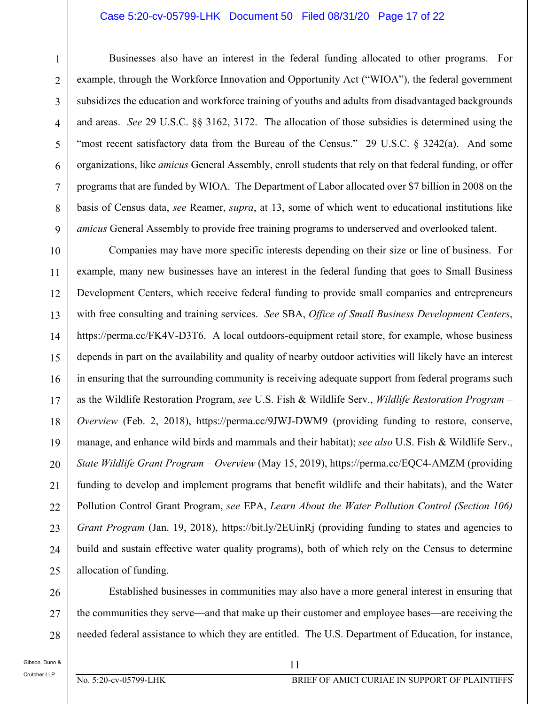### Case 5:20-cv-05799-LHK Document 50 Filed 08/31/20 Page 17 of 22

5

8

9

1

2

Businesses also have an interest in the federal funding allocated to other programs. For example, through the Workforce Innovation and Opportunity Act ("WIOA"), the federal government subsidizes the education and workforce training of youths and adults from disadvantaged backgrounds and areas. *See* 29 U.S.C. §§ 3162, 3172. The allocation of those subsidies is determined using the "most recent satisfactory data from the Bureau of the Census." 29 U.S.C. § 3242(a). And some organizations, like *amicus* General Assembly, enroll students that rely on that federal funding, or offer programs that are funded by WIOA. The Department of Labor allocated over \$7 billion in 2008 on the basis of Census data, *see* Reamer, *supra*, at 13, some of which went to educational institutions like *amicus* General Assembly to provide free training programs to underserved and overlooked talent.

10 11 12 13 14 15 16 17 18 19 20 21 22 23  $24$ 25 Companies may have more specific interests depending on their size or line of business. For example, many new businesses have an interest in the federal funding that goes to Small Business Development Centers, which receive federal funding to provide small companies and entrepreneurs with free consulting and training services. *See* SBA, *Office of Small Business Development Centers*, https://perma.cc/FK4V-D3T6. A local outdoors-equipment retail store, for example, whose business depends in part on the availability and quality of nearby outdoor activities will likely have an interest in ensuring that the surrounding community is receiving adequate support from federal programs such as the Wildlife Restoration Program, *see* U.S. Fish & Wildlife Serv., *Wildlife Restoration Program – Overview* (Feb. 2, 2018), https://perma.cc/9JWJ-DWM9 (providing funding to restore, conserve, manage, and enhance wild birds and mammals and their habitat); *see also* U.S. Fish & Wildlife Serv., *State Wildlife Grant Program – Overview* (May 15, 2019), https://perma.cc/EQC4-AMZM (providing funding to develop and implement programs that benefit wildlife and their habitats), and the Water Pollution Control Grant Program, *see* EPA, *Learn About the Water Pollution Control (Section 106) Grant Program* (Jan. 19, 2018), https://bit.ly/2EUinRj (providing funding to states and agencies to build and sustain effective water quality programs), both of which rely on the Census to determine allocation of funding.

26 27

28

Crutcher LLP

the communities they serve—and that make up their customer and employee bases—are receiving the

needed federal assistance to which they are entitled. The U.S. Department of Education, for instance,

Established businesses in communities may also have a more general interest in ensuring that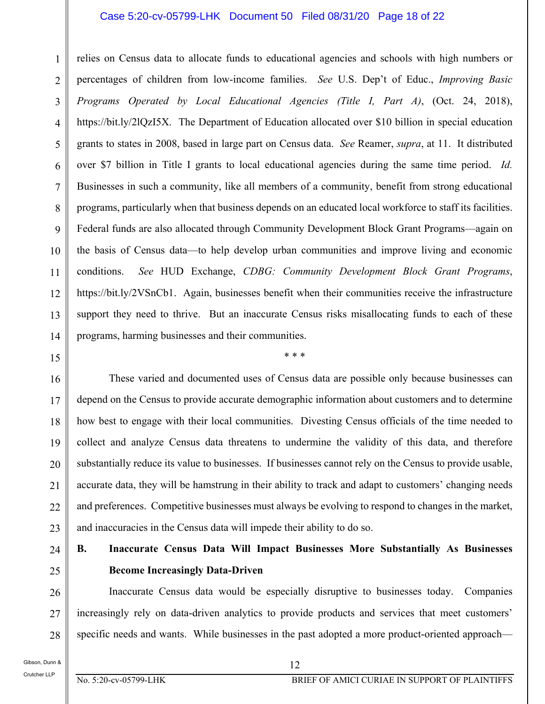### Case 5:20-cv-05799-LHK Document 50 Filed 08/31/20 Page 18 of 22

1 2 3 4 5 6 7 8 9 10 11 12 13 14 relies on Census data to allocate funds to educational agencies and schools with high numbers or percentages of children from low-income families. *See* U.S. Dep't of Educ., *Improving Basic Programs Operated by Local Educational Agencies (Title I, Part A)*, (Oct. 24, 2018), https://bit.ly/2lQzI5X. The Department of Education allocated over \$10 billion in special education grants to states in 2008, based in large part on Census data. *See* Reamer, *supra*, at 11. It distributed over \$7 billion in Title I grants to local educational agencies during the same time period. *Id.* Businesses in such a community, like all members of a community, benefit from strong educational programs, particularly when that business depends on an educated local workforce to staff its facilities. Federal funds are also allocated through Community Development Block Grant Programs—again on the basis of Census data—to help develop urban communities and improve living and economic conditions. *See* HUD Exchange, *CDBG: Community Development Block Grant Programs*, https://bit.ly/2VSnCb1. Again, businesses benefit when their communities receive the infrastructure support they need to thrive. But an inaccurate Census risks misallocating funds to each of these programs, harming businesses and their communities.

15

16 17 18 19 20 21 22 23 These varied and documented uses of Census data are possible only because businesses can depend on the Census to provide accurate demographic information about customers and to determine how best to engage with their local communities. Divesting Census officials of the time needed to collect and analyze Census data threatens to undermine the validity of this data, and therefore substantially reduce its value to businesses. If businesses cannot rely on the Census to provide usable, accurate data, they will be hamstrung in their ability to track and adapt to customers' changing needs and preferences. Competitive businesses must always be evolving to respond to changes in the market, and inaccuracies in the Census data will impede their ability to do so.

\* \* \*

#### $24$ **B. Inaccurate Census Data Will Impact Businesses More Substantially As Businesses Become Increasingly Data-Driven**

26 27 28 Inaccurate Census data would be especially disruptive to businesses today. Companies increasingly rely on data-driven analytics to provide products and services that meet customers' specific needs and wants. While businesses in the past adopted a more product-oriented approach—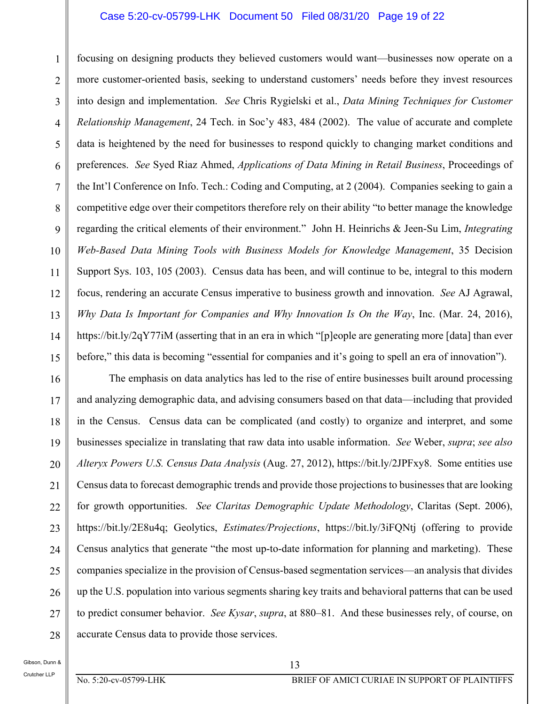### Case 5:20-cv-05799-LHK Document 50 Filed 08/31/20 Page 19 of 22

1 2 3 4 5 6 7 8 9 10 11 12 13 14 15 focusing on designing products they believed customers would want—businesses now operate on a more customer-oriented basis, seeking to understand customers' needs before they invest resources into design and implementation. *See* Chris Rygielski et al., *Data Mining Techniques for Customer Relationship Management*, 24 Tech. in Soc'y 483, 484 (2002). The value of accurate and complete data is heightened by the need for businesses to respond quickly to changing market conditions and preferences. *See* Syed Riaz Ahmed, *Applications of Data Mining in Retail Business*, Proceedings of the Int'l Conference on Info. Tech.: Coding and Computing, at 2 (2004). Companies seeking to gain a competitive edge over their competitors therefore rely on their ability "to better manage the knowledge regarding the critical elements of their environment." John H. Heinrichs & Jeen-Su Lim, *Integrating Web-Based Data Mining Tools with Business Models for Knowledge Management*, 35 Decision Support Sys. 103, 105 (2003). Census data has been, and will continue to be, integral to this modern focus, rendering an accurate Census imperative to business growth and innovation. *See* AJ Agrawal, *Why Data Is Important for Companies and Why Innovation Is On the Way*, Inc. (Mar. 24, 2016), https://bit.ly/2qY77iM (asserting that in an era in which "[p]eople are generating more [data] than ever before," this data is becoming "essential for companies and it's going to spell an era of innovation").

16 17 18 19 20 21 22 23 24 25 26 27 28 The emphasis on data analytics has led to the rise of entire businesses built around processing and analyzing demographic data, and advising consumers based on that data—including that provided in the Census. Census data can be complicated (and costly) to organize and interpret, and some businesses specialize in translating that raw data into usable information. *See* Weber, *supra*; *see also Alteryx Powers U.S. Census Data Analysis* (Aug. 27, 2012), https://bit.ly/2JPFxy8. Some entities use Census data to forecast demographic trends and provide those projections to businesses that are looking for growth opportunities. *See Claritas Demographic Update Methodology*, Claritas (Sept. 2006), https://bit.ly/2E8u4q; Geolytics, *Estimates/Projections*, https://bit.ly/3iFQNtj (offering to provide Census analytics that generate "the most up-to-date information for planning and marketing). These companies specialize in the provision of Census-based segmentation services—an analysis that divides up the U.S. population into various segments sharing key traits and behavioral patterns that can be used to predict consumer behavior. *See Kysar*, *supra*, at 880–81. And these businesses rely, of course, on accurate Census data to provide those services.

Gibson, Dunn &

Crutcher LLP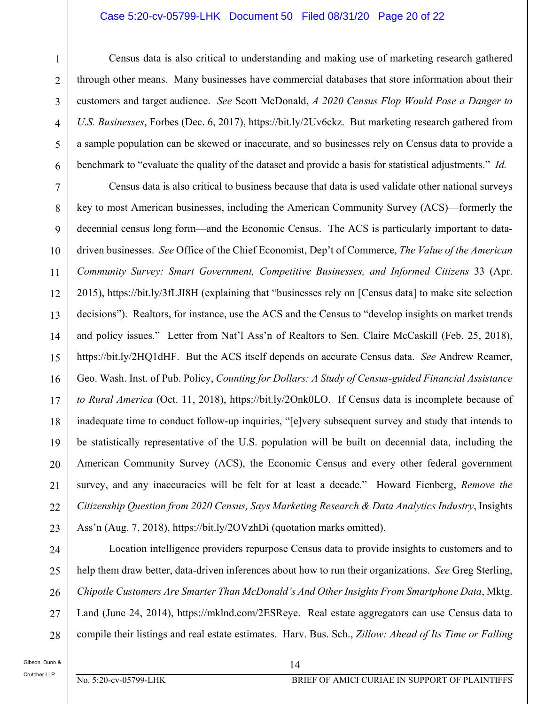### Case 5:20-cv-05799-LHK Document 50 Filed 08/31/20 Page 20 of 22

Census data is also critical to understanding and making use of marketing research gathered through other means. Many businesses have commercial databases that store information about their customers and target audience. *See* Scott McDonald, *A 2020 Census Flop Would Pose a Danger to U.S. Businesses*, Forbes (Dec. 6, 2017), https://bit.ly/2Uv6ckz. But marketing research gathered from a sample population can be skewed or inaccurate, and so businesses rely on Census data to provide a benchmark to "evaluate the quality of the dataset and provide a basis for statistical adjustments." *Id.*

7 8 9 20 21 22 23 Census data is also critical to business because that data is used validate other national surveys key to most American businesses, including the American Community Survey (ACS)—formerly the decennial census long form—and the Economic Census.The ACS is particularly important to datadriven businesses. *See* Office of the Chief Economist, Dep't of Commerce, *The Value of the American Community Survey: Smart Government, Competitive Businesses, and Informed Citizens* 33 (Apr. 2015), https://bit.ly/3fLJI8H (explaining that "businesses rely on [Census data] to make site selection decisions"). Realtors, for instance, use the ACS and the Census to "develop insights on market trends and policy issues." Letter from Nat'l Ass'n of Realtors to Sen. Claire McCaskill (Feb. 25, 2018), https://bit.ly/2HQ1dHF. But the ACS itself depends on accurate Census data. *See* Andrew Reamer, Geo. Wash. Inst. of Pub. Policy, *Counting for Dollars: A Study of Census-guided Financial Assistance to Rural America* (Oct. 11, 2018), https://bit.ly/2Onk0LO. If Census data is incomplete because of inadequate time to conduct follow-up inquiries, "[e]very subsequent survey and study that intends to be statistically representative of the U.S. population will be built on decennial data, including the American Community Survey (ACS), the Economic Census and every other federal government survey, and any inaccuracies will be felt for at least a decade." Howard Fienberg, *Remove the Citizenship Question from 2020 Census, Says Marketing Research & Data Analytics Industry*, Insights Ass'n (Aug. 7, 2018), https://bit.ly/2OVzhDi (quotation marks omitted).

24 25 26

27

28

Location intelligence providers repurpose Census data to provide insights to customers and to help them draw better, data-driven inferences about how to run their organizations. *See* Greg Sterling, *Chipotle Customers Are Smarter Than McDonald's And Other Insights From Smartphone Data*, Mktg. Land (June 24, 2014), https://mklnd.com/2ESReye. Real estate aggregators can use Census data to compile their listings and real estate estimates. Harv. Bus. Sch., *Zillow: Ahead of Its Time or Falling*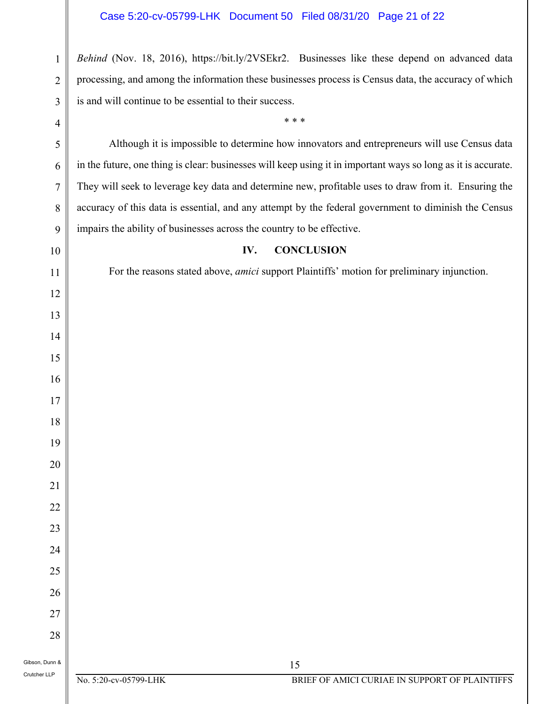*Behind* (Nov. 18, 2016), https://bit.ly/2VSEkr2. Businesses like these depend on advanced data processing, and among the information these businesses process is Census data, the accuracy of which is and will continue to be essential to their success.

\* \* \*

Although it is impossible to determine how innovators and entrepreneurs will use Census data in the future, one thing is clear: businesses will keep using it in important ways so long as it is accurate. They will seek to leverage key data and determine new, profitable uses to draw from it. Ensuring the accuracy of this data is essential, and any attempt by the federal government to diminish the Census impairs the ability of businesses across the country to be effective.

### **IV. CONCLUSION**

For the reasons stated above, *amici* support Plaintiffs' motion for preliminary injunction.

Gibson, Dunn & Crutcher LLP